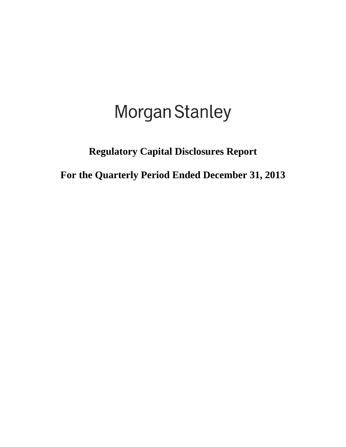# **Morgan Stanley**

# **Regulatory Capital Disclosures Report**

**For the Quarterly Period Ended December 31, 2013**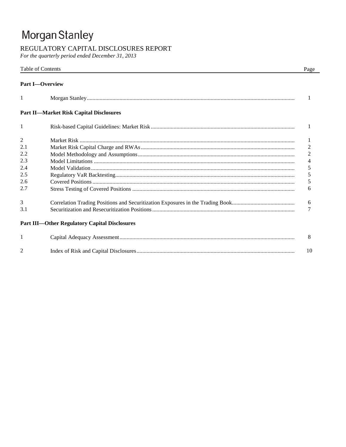# Morgan Stanley

# REGULATORY CAPITAL DISCLOSURES REPORT

For the quarterly period ended December 31, 2013

|                | Table of Contents                                    | Page           |
|----------------|------------------------------------------------------|----------------|
|                | <b>Part I</b> -Overview                              |                |
| 1              |                                                      | 1              |
|                | <b>Part II-Market Risk Capital Disclosures</b>       |                |
| 1              |                                                      | 1              |
| $\overline{2}$ |                                                      | 1              |
| 2.1            |                                                      | $\overline{c}$ |
| 2.2            |                                                      | $\overline{2}$ |
| 2.3            |                                                      | $\overline{4}$ |
| 2.4            |                                                      | 5              |
| 2.5            |                                                      | 5              |
| 2.6            |                                                      | 5              |
| 2.7            |                                                      | 6              |
| 3              |                                                      | 6              |
| 3.1            |                                                      | 7              |
|                | <b>Part III-Other Regulatory Capital Disclosures</b> |                |
| 1              |                                                      | 8              |
| $\mathfrak{D}$ |                                                      | 10             |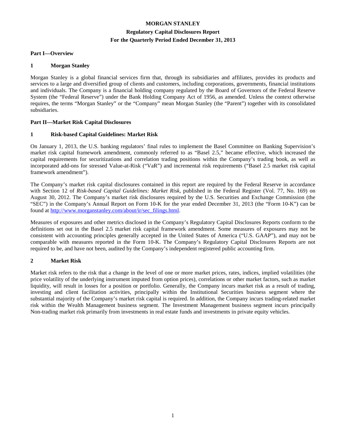## **Regulatory Capital Disclosures Report For the Quarterly Period Ended December 31, 2013**

#### **Part I—Overview**

#### **1 Morgan Stanley**

Morgan Stanley is a global financial services firm that, through its subsidiaries and affiliates, provides its products and services to a large and diversified group of clients and customers, including corporations, governments, financial institutions and individuals. The Company is a financial holding company regulated by the Board of Governors of the Federal Reserve System (the "Federal Reserve") under the Bank Holding Company Act of 1956, as amended. Unless the context otherwise requires, the terms "Morgan Stanley" or the "Company" mean Morgan Stanley (the "Parent") together with its consolidated subsidiaries.

#### **Part II—Market Risk Capital Disclosures**

#### **1 Risk-based Capital Guidelines: Market Risk**

On January 1, 2013, the U.S. banking regulators' final rules to implement the Basel Committee on Banking Supervision's market risk capital framework amendment, commonly referred to as "Basel 2.5," became effective, which increased the capital requirements for securitizations and correlation trading positions within the Company's trading book, as well as incorporated add-ons for stressed Value-at-Risk ("VaR") and incremental risk requirements ("Basel 2.5 market risk capital framework amendment").

The Company's market risk capital disclosures contained in this report are required by the Federal Reserve in accordance with Section 12 of *Risk-based Capital Guidelines: Market Risk*, published in the Federal Register (Vol. 77, No. 169) on August 30, 2012. The Company's market risk disclosures required by the U.S. Securities and Exchange Commission (the "SEC") in the Company's Annual Report on Form 10-K for the year ended December 31, 2013 (the "Form 10-K") can be found at [http://www.morganstanley.com/about/ir/sec\\_filings.html.](http://www.morganstanley.com/about/ir/sec_filings.html)

Measures of exposures and other metrics disclosed in the Company's Regulatory Capital Disclosures Reports conform to the definitions set out in the Basel 2.5 market risk capital framework amendment. Some measures of exposures may not be consistent with accounting principles generally accepted in the United States of America ("U.S. GAAP"), and may not be comparable with measures reported in the Form 10-K. The Company's Regulatory Capital Disclosures Reports are not required to be, and have not been, audited by the Company's independent registered public accounting firm.

#### **2 Market Risk**

Market risk refers to the risk that a change in the level of one or more market prices, rates, indices, implied volatilities (the price volatility of the underlying instrument imputed from option prices), correlations or other market factors, such as market liquidity, will result in losses for a position or portfolio. Generally, the Company incurs market risk as a result of trading, investing and client facilitation activities, principally within the Institutional Securities business segment where the substantial majority of the Company's market risk capital is required. In addition, the Company incurs trading-related market risk within the Wealth Management business segment. The Investment Management business segment incurs principally Non-trading market risk primarily from investments in real estate funds and investments in private equity vehicles.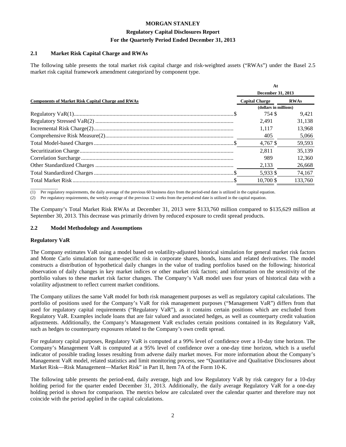#### **Regulatory Capital Disclosures Report For the Quarterly Period Ended December 31, 2013**

#### **2.1 Market Risk Capital Charge and RWAs**

The following table presents the total market risk capital charge and risk-weighted assets ("RWAs") under the Basel 2.5 market risk capital framework amendment categorized by component type.

|                                                          | At                    |             |
|----------------------------------------------------------|-----------------------|-------------|
|                                                          | December 31, 2013     |             |
| <b>Components of Market Risk Capital Charge and RWAs</b> | <b>Capital Charge</b> | <b>RWAs</b> |
|                                                          | (dollars in millions) |             |
|                                                          | 754 \$                | 9.421       |
|                                                          | 2.491                 | 31,138      |
|                                                          | 1.117                 | 13,968      |
|                                                          | 405                   | 5.066       |
|                                                          | 4.767 \$              | 59,593      |
|                                                          | 2.811                 | 35,139      |
|                                                          | 989                   | 12.360      |
|                                                          | 2,133                 | 26,668      |
|                                                          | 5.933 \$              | 74,167      |
|                                                          | 10.700 \$             | 133.760     |

 $\overline{\phantom{a}}$  , where  $\overline{\phantom{a}}$ (1) Per regulatory requirements, the daily average of the previous 60 business days from the period-end date is utilized in the capital equation.

(2) Per regulatory requirements, the weekly average of the previous 12 weeks from the period-end date is utilized in the capital equation.

The Company's Total Market Risk RWAs at December 31, 2013 were \$133,760 million compared to \$135,629 million at September 30, 2013. This decrease was primarily driven by reduced exposure to credit spread products.

#### **2.2 Model Methodology and Assumptions**

#### **Regulatory VaR**

The Company estimates VaR using a model based on volatility-adjusted historical simulation for general market risk factors and Monte Carlo simulation for name-specific risk in corporate shares, bonds, loans and related derivatives. The model constructs a distribution of hypothetical daily changes in the value of trading portfolios based on the following: historical observation of daily changes in key market indices or other market risk factors; and information on the sensitivity of the portfolio values to these market risk factor changes. The Company's VaR model uses four years of historical data with a volatility adjustment to reflect current market conditions.

The Company utilizes the same VaR model for both risk management purposes as well as regulatory capital calculations. The portfolio of positions used for the Company's VaR for risk management purposes ("Management VaR") differs from that used for regulatory capital requirements ("Regulatory VaR"), as it contains certain positions which are excluded from Regulatory VaR. Examples include loans that are fair valued and associated hedges, as well as counterparty credit valuation adjustments. Additionally, the Company's Management VaR excludes certain positions contained in its Regulatory VaR, such as hedges to counterparty exposures related to the Company's own credit spread.

For regulatory capital purposes, Regulatory VaR is computed at a 99% level of confidence over a 10-day time horizon. The Company's Management VaR is computed at a 95% level of confidence over a one-day time horizon, which is a useful indicator of possible trading losses resulting from adverse daily market moves. For more information about the Company's Management VaR model, related statistics and limit monitoring process, see "Quantitative and Qualitative Disclosures about Market Risk—Risk Management—Market Risk" in Part II, Item 7A of the Form 10-K.

The following table presents the period-end, daily average, high and low Regulatory VaR by risk category for a 10-day holding period for the quarter ended December 31, 2013. Additionally, the daily average Regulatory VaR for a one-day holding period is shown for comparison. The metrics below are calculated over the calendar quarter and therefore may not coincide with the period applied in the capital calculations.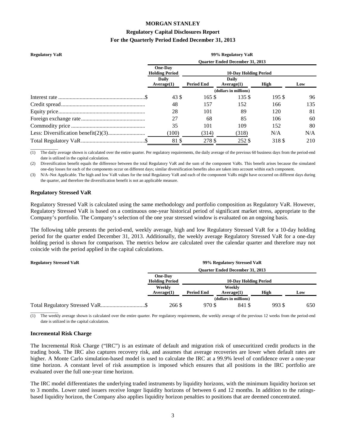#### **Regulatory Capital Disclosures Report For the Quarterly Period Ended December 31, 2013**

| <b>Regulatory VaR</b> |                                         |                   | 99% Regulatory VaR                     |        |     |
|-----------------------|-----------------------------------------|-------------------|----------------------------------------|--------|-----|
|                       |                                         |                   | <b>Ouarter Ended December 31, 2013</b> |        |     |
|                       | <b>One-Day</b><br><b>Holding Period</b> |                   | <b>10-Day Holding Period</b>           |        |     |
|                       | Daily                                   | <b>Period End</b> | <b>Daily</b>                           |        |     |
|                       | Average(1)                              |                   | Average(1)<br>(dollars in millions)    | High   | Low |
|                       | 43 S                                    | 165S              | 135 \$                                 | 195 \$ | 96  |
|                       | 48                                      | 157               | 152                                    | 166    | 135 |
|                       | 28                                      | 101               | 89                                     | 120    | 81  |
|                       | 27                                      | 68                | 85                                     | 106    | 60  |
|                       | 35                                      | 101               | 109                                    | 152    | 80  |
|                       | (100)                                   | (314)             | (318)                                  | N/A    | N/A |
|                       | 81\$                                    | 278 \$            | 252 \$                                 | 318 \$ | 210 |

(1) The daily average shown is calculated over the entire quarter. Per regulatory requirements, the daily average of the previous 60 business days from the period-end date is utilized in the capital calculation.

(2) Diversification benefit equals the difference between the total Regulatory VaR and the sum of the component VaRs. This benefit arises because the simulated one-day losses for each of the components occur on different days; similar diversification benefits also are taken into account within each component.

(3) N/A–Not Applicable. The high and low VaR values for the total Regulatory VaR and each of the component VaRs might have occurred on different days during the quarter, and therefore the diversification benefit is not an applicable measure.

#### **Regulatory Stressed VaR**

 $\overline{\phantom{a}}$  , where  $\overline{\phantom{a}}$ 

Regulatory Stressed VaR is calculated using the same methodology and portfolio composition as Regulatory VaR. However, Regulatory Stressed VaR is based on a continuous one-year historical period of significant market stress, appropriate to the Company's portfolio. The Company's selection of the one year stressed window is evaluated on an ongoing basis.

The following table presents the period-end, weekly average, high and low Regulatory Stressed VaR for a 10-day holding period for the quarter ended December 31, 2013. Additionally, the weekly average Regulatory Stressed VaR for a one-day holding period is shown for comparison. The metrics below are calculated over the calendar quarter and therefore may not coincide with the period applied in the capital calculations.

#### **Regulatory Stressed VaR 99% Regulatory Stressed VaR**

| <i>Regulatory buressed</i> van |                       |                   | $\frac{1}{2}$ of $\frac{1}{2}$ $\frac{1}{2}$ $\frac{1}{2}$ $\frac{1}{2}$ $\frac{1}{2}$ $\frac{1}{2}$ $\frac{1}{2}$ $\frac{1}{2}$ $\frac{1}{2}$ $\frac{1}{2}$ |       |     |
|--------------------------------|-----------------------|-------------------|--------------------------------------------------------------------------------------------------------------------------------------------------------------|-------|-----|
|                                |                       |                   | <b>Ouarter Ended December 31, 2013</b>                                                                                                                       |       |     |
|                                | <b>One-Day</b>        |                   |                                                                                                                                                              |       |     |
|                                | <b>Holding Period</b> |                   | <b>10-Day Holding Period</b>                                                                                                                                 |       |     |
|                                | Weekly                |                   | Weekly                                                                                                                                                       |       |     |
|                                | Average(1)            | <b>Period End</b> | Average(1)                                                                                                                                                   | High  | Low |
|                                |                       |                   | (dollars in millions)                                                                                                                                        |       |     |
|                                | 266 \$                | 970 \$            | 841 \$                                                                                                                                                       | 993\$ | 650 |

 $\overline{\phantom{a}}$  , where  $\overline{\phantom{a}}$ The weekly average shown is calculated over the entire quarter. Per regulatory requirements, the weekly average of the previous 12 weeks from the period-end date is utilized in the capital calculation.

#### **Incremental Risk Charge**

The Incremental Risk Charge ("IRC") is an estimate of default and migration risk of unsecuritized credit products in the trading book. The IRC also captures recovery risk, and assumes that average recoveries are lower when default rates are higher. A Monte Carlo simulation-based model is used to calculate the IRC at a 99.9% level of confidence over a one-year time horizon. A constant level of risk assumption is imposed which ensures that all positions in the IRC portfolio are evaluated over the full one-year time horizon.

The IRC model differentiates the underlying traded instruments by liquidity horizons, with the minimum liquidity horizon set to 3 months. Lower rated issuers receive longer liquidity horizons of between 6 and 12 months. In addition to the ratingsbased liquidity horizon, the Company also applies liquidity horizon penalties to positions that are deemed concentrated.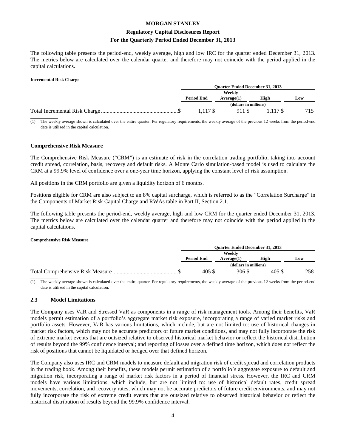# **Regulatory Capital Disclosures Report For the Quarterly Period Ended December 31, 2013**

The following table presents the period-end, weekly average, high and low IRC for the quarter ended December 31, 2013. The metrics below are calculated over the calendar quarter and therefore may not coincide with the period applied in the capital calculations.

#### **Incremental Risk Charge**

| <b>Ouarter Ended December 31, 2013</b> |                       |          |     |
|----------------------------------------|-----------------------|----------|-----|
|                                        | Weeklv                |          |     |
| <b>Period End</b>                      | Average(1)            | High     | Low |
|                                        | (dollars in millions) |          |     |
| 1.117 \$                               | 911 S                 | 1.117 \$ | 715 |
|                                        |                       |          |     |

(1) The weekly average shown is calculated over the entire quarter. Per regulatory requirements, the weekly average of the previous 12 weeks from the period-end date is utilized in the capital calculation.

#### **Comprehensive Risk Measure**

The Comprehensive Risk Measure ("CRM") is an estimate of risk in the correlation trading portfolio, taking into account credit spread, correlation, basis, recovery and default risks. A Monte Carlo simulation-based model is used to calculate the CRM at a 99.9% level of confidence over a one-year time horizon, applying the constant level of risk assumption.

All positions in the CRM portfolio are given a liquidity horizon of 6 months.

Positions eligible for CRM are also subject to an 8% capital surcharge, which is referred to as the "Correlation Surcharge" in the Components of Market Risk Capital Charge and RWAs table in Part II, Section 2.1.

The following table presents the period-end, weekly average, high and low CRM for the quarter ended December 31, 2013. The metrics below are calculated over the calendar quarter and therefore may not coincide with the period applied in the capital calculations.

#### **Comprehensive Risk Measure**

| <b>Ouarter Ended December 31, 2013</b> |                       |       |     |
|----------------------------------------|-----------------------|-------|-----|
| <b>Period End</b>                      | Weekly                | High  |     |
|                                        | Average(1)            |       | Low |
|                                        | (dollars in millions) |       |     |
| 405\$                                  | 306 \$                | 405 S | 258 |
|                                        |                       |       |     |

The weekly average shown is calculated over the entire quarter. Per regulatory requirements, the weekly average of the previous 12 weeks from the period-end date is utilized in the capital calculation.

#### **2.3 Model Limitations**

The Company uses VaR and Stressed VaR as components in a range of risk management tools. Among their benefits, VaR models permit estimation of a portfolio's aggregate market risk exposure, incorporating a range of varied market risks and portfolio assets. However, VaR has various limitations, which include, but are not limited to: use of historical changes in market risk factors, which may not be accurate predictors of future market conditions, and may not fully incorporate the risk of extreme market events that are outsized relative to observed historical market behavior or reflect the historical distribution of results beyond the 99% confidence interval; and reporting of losses over a defined time horizon, which does not reflect the risk of positions that cannot be liquidated or hedged over that defined horizon.

The Company also uses IRC and CRM models to measure default and migration risk of credit spread and correlation products in the trading book. Among their benefits, these models permit estimation of a portfolio's aggregate exposure to default and migration risk, incorporating a range of market risk factors in a period of financial stress. However, the IRC and CRM models have various limitations, which include, but are not limited to: use of historical default rates, credit spread movements, correlation, and recovery rates, which may not be accurate predictors of future credit environments, and may not fully incorporate the risk of extreme credit events that are outsized relative to observed historical behavior or reflect the historical distribution of results beyond the 99.9% confidence interval.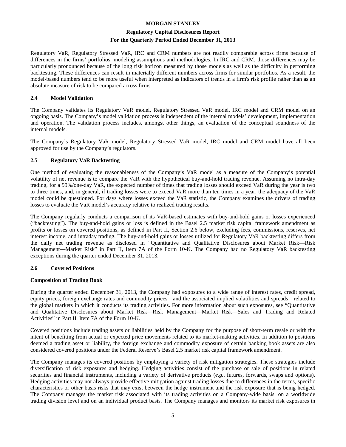### **Regulatory Capital Disclosures Report For the Quarterly Period Ended December 31, 2013**

Regulatory VaR, Regulatory Stressed VaR, IRC and CRM numbers are not readily comparable across firms because of differences in the firms' portfolios, modeling assumptions and methodologies. In IRC and CRM, those differences may be particularly pronounced because of the long risk horizon measured by those models as well as the difficulty in performing backtesting. These differences can result in materially different numbers across firms for similar portfolios. As a result, the model-based numbers tend to be more useful when interpreted as indicators of trends in a firm's risk profile rather than as an absolute measure of risk to be compared across firms.

#### **2.4 Model Validation**

The Company validates its Regulatory VaR model, Regulatory Stressed VaR model, IRC model and CRM model on an ongoing basis. The Company's model validation process is independent of the internal models' development, implementation and operation. The validation process includes, amongst other things, an evaluation of the conceptual soundness of the internal models.

The Company's Regulatory VaR model, Regulatory Stressed VaR model, IRC model and CRM model have all been approved for use by the Company's regulators.

#### **2.5 Regulatory VaR Backtesting**

One method of evaluating the reasonableness of the Company's VaR model as a measure of the Company's potential volatility of net revenue is to compare the VaR with the hypothetical buy-and-hold trading revenue. Assuming no intra-day trading, for a 99%/one-day VaR, the expected number of times that trading losses should exceed VaR during the year is two to three times, and, in general, if trading losses were to exceed VaR more than ten times in a year, the adequacy of the VaR model could be questioned. For days where losses exceed the VaR statistic, the Company examines the drivers of trading losses to evaluate the VaR model's accuracy relative to realized trading results.

The Company regularly conducts a comparison of its VaR-based estimates with buy-and-hold gains or losses experienced ("backtesting"). The buy-and-hold gains or loss is defined in the Basel 2.5 market risk capital framework amendment as profits or losses on covered positions, as defined in Part II, Section 2.6 below, excluding fees, commissions, reserves, net interest income, and intraday trading. The buy-and-hold gains or losses utilized for Regulatory VaR backtesting differs from the daily net trading revenue as disclosed in "Quantitative and Qualitative Disclosures about Market Risk—Risk Management—Market Risk" in Part II, Item 7A of the Form 10-K. The Company had no Regulatory VaR backtesting exceptions during the quarter ended December 31, 2013.

#### **2.6 Covered Positions**

#### **Composition of Trading Book**

During the quarter ended December 31, 2013, the Company had exposures to a wide range of interest rates, credit spread, equity prices, foreign exchange rates and commodity prices—and the associated implied volatilities and spreads—related to the global markets in which it conducts its trading activities. For more information about such exposures, see "Quantitative and Qualitative Disclosures about Market Risk—Risk Management—Market Risk—Sales and Trading and Related Activities" in Part II, Item 7A of the Form 10-K.

Covered positions include trading assets or liabilities held by the Company for the purpose of short-term resale or with the intent of benefiting from actual or expected price movements related to its market-making activities. In addition to positions deemed a trading asset or liability, the foreign exchange and commodity exposure of certain banking book assets are also considered covered positions under the Federal Reserve's Basel 2.5 market risk capital framework amendment.

The Company manages its covered positions by employing a variety of risk mitigation strategies. These strategies include diversification of risk exposures and hedging. Hedging activities consist of the purchase or sale of positions in related securities and financial instruments, including a variety of derivative products (*e.g.*, futures, forwards, swaps and options). Hedging activities may not always provide effective mitigation against trading losses due to differences in the terms, specific characteristics or other basis risks that may exist between the hedge instrument and the risk exposure that is being hedged. The Company manages the market risk associated with its trading activities on a Company-wide basis, on a worldwide trading division level and on an individual product basis. The Company manages and monitors its market risk exposures in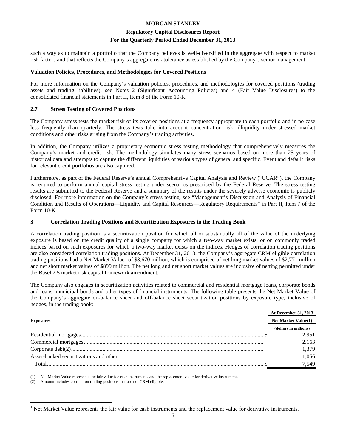#### **Regulatory Capital Disclosures Report For the Quarterly Period Ended December 31, 2013**

such a way as to maintain a portfolio that the Company believes is well-diversified in the aggregate with respect to market risk factors and that reflects the Company's aggregate risk tolerance as established by the Company's senior management.

#### **Valuation Policies, Procedures, and Methodologies for Covered Positions**

For more information on the Company's valuation policies, procedures, and methodologies for covered positions (trading assets and trading liabilities), see Notes 2 (Significant Accounting Policies) and 4 (Fair Value Disclosures) to the consolidated financial statements in Part II, Item 8 of the Form 10-K.

#### **2.7 Stress Testing of Covered Positions**

The Company stress tests the market risk of its covered positions at a frequency appropriate to each portfolio and in no case less frequently than quarterly. The stress tests take into account concentration risk, illiquidity under stressed market conditions and other risks arising from the Company's trading activities.

In addition, the Company utilizes a proprietary economic stress testing methodology that comprehensively measures the Company's market and credit risk. The methodology simulates many stress scenarios based on more than 25 years of historical data and attempts to capture the different liquidities of various types of general and specific. Event and default risks for relevant credit portfolios are also captured.

Furthermore, as part of the Federal Reserve's annual Comprehensive Capital Analysis and Review ("CCAR"), the Company is required to perform annual capital stress testing under scenarios prescribed by the Federal Reserve. The stress testing results are submitted to the Federal Reserve and a summary of the results under the severely adverse economic is publicly disclosed. For more information on the Company's stress testing, see "Management's Discussion and Analysis of Financial Condition and Results of Operations—Liquidity and Capital Resources—Regulatory Requirements" in Part II, Item 7 of the Form 10-K.

#### **3 Correlation Trading Positions and Securitization Exposures in the Trading Book**

A correlation trading position is a securitization position for which all or substantially all of the value of the underlying exposure is based on the credit quality of a single company for which a two-way market exists, or on commonly traded indices based on such exposures for which a two-way market exists on the indices. Hedges of correlation trading positions are also considered correlation trading positions. At December 31, 2013, the Company's aggregate CRM eligible correlation trading positions had a Net Market Value<sup>[1](#page-7-0)</sup> of \$3,670 million, which is comprised of net long market values of \$2,771 million and net short market values of \$899 million. The net long and net short market values are inclusive of netting permitted under the Basel 2.5 market risk capital framework amendment.

The Company also engages in securitization activities related to commercial and residential mortgage loans, corporate bonds and loans, municipal bonds and other types of financial instruments. The following table presents the Net Market Value of the Company's aggregate on-balance sheet and off-balance sheet securitization positions by exposure type, inclusive of hedges, in the trading book:

|                  | <b>At December 31, 2013</b> |
|------------------|-----------------------------|
| <b>Exposures</b> | <b>Net Market Value(1)</b>  |
|                  | (dollars in millions)       |
|                  | 2.951                       |
|                  | 2,163                       |
|                  | 1,379                       |
|                  | 1,056                       |
|                  | 7.549                       |
|                  |                             |

(1) Net Market Value represents the fair value for cash instruments and the replacement value for derivative instruments.

Amount includes correlation trading positions that are not CRM eligible.

<span id="page-7-0"></span>Net Market Value represents the fair value for cash instruments and the replacement value for derivative instruments.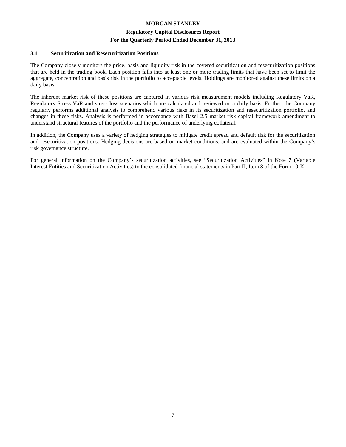# **Regulatory Capital Disclosures Report**

#### **For the Quarterly Period Ended December 31, 2013**

#### **3.1 Securitization and Resecuritization Positions**

The Company closely monitors the price, basis and liquidity risk in the covered securitization and resecuritization positions that are held in the trading book. Each position falls into at least one or more trading limits that have been set to limit the aggregate, concentration and basis risk in the portfolio to acceptable levels. Holdings are monitored against these limits on a daily basis.

The inherent market risk of these positions are captured in various risk measurement models including Regulatory VaR, Regulatory Stress VaR and stress loss scenarios which are calculated and reviewed on a daily basis. Further, the Company regularly performs additional analysis to comprehend various risks in its securitization and resecuritization portfolio, and changes in these risks. Analysis is performed in accordance with Basel 2.5 market risk capital framework amendment to understand structural features of the portfolio and the performance of underlying collateral.

In addition, the Company uses a variety of hedging strategies to mitigate credit spread and default risk for the securitization and resecuritization positions. Hedging decisions are based on market conditions, and are evaluated within the Company's risk governance structure.

For general information on the Company's securitization activities, see "Securitization Activities" in Note 7 (Variable Interest Entities and Securitization Activities) to the consolidated financial statements in Part II, Item 8 of the Form 10-K.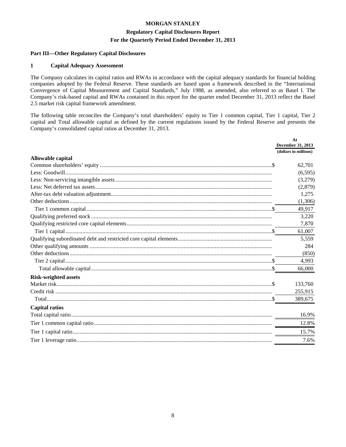## **Regulatory Capital Disclosures Report For the Quarterly Period Ended December 31, 2013**

#### **Part III—Other Regulatory Capital Disclosures**

#### **1 Capital Adequacy Assessment**

The Company calculates its capital ratios and RWAs in accordance with the capital adequacy standards for financial holding companies adopted by the Federal Reserve. These standards are based upon a framework described in the "International Convergence of Capital Measurement and Capital Standards," July 1988, as amended, also referred to as Basel I. The Company's risk-based capital and RWAs contained in this report for the quarter ended December 31, 2013 reflect the Basel 2.5 market risk capital framework amendment.

The following table reconciles the Company's total shareholders' equity to Tier 1 common capital, Tier 1 capital, Tier 2 capital and Total allowable capital as defined by the current regulations issued by the Federal Reserve and presents the Company's consolidated capital ratios at December 31, 2013.

|                             | At                    |
|-----------------------------|-----------------------|
|                             | December 31, 2013     |
| Allowable capital           | (dollars in millions) |
|                             | 62,701                |
|                             | (6,595)               |
|                             | (3,279)               |
|                             | (2,879)               |
|                             | 1,275                 |
|                             | (1,306)               |
|                             | 49,917                |
|                             | 3,220                 |
|                             | 7,870                 |
|                             | 61,007                |
|                             | 5,559                 |
|                             | 284                   |
|                             | (850)                 |
|                             | 4,993                 |
|                             | 66,000                |
| <b>Risk-weighted assets</b> |                       |
|                             | 133,760               |
|                             | 255,915               |
|                             | 389,675               |
| <b>Capital ratios</b>       |                       |
|                             | 16.9%                 |
|                             | 12.8%                 |
|                             | 15.7%                 |
|                             | 7.6%                  |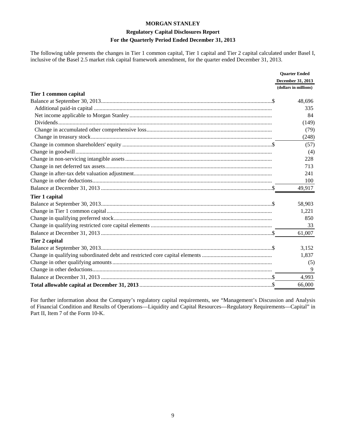# **Regulatory Capital Disclosures Report For the Quarterly Period Ended December 31, 2013**

The following table presents the changes in Tier 1 common capital, Tier 1 capital and Tier 2 capital calculated under Basel I, inclusive of the Basel 2.5 market risk capital framework amendment, for the quarter ended December 31, 2013.

|                       | <b>Quarter Ended</b>  |
|-----------------------|-----------------------|
|                       | December 31, 2013     |
|                       | (dollars in millions) |
| Tier 1 common capital |                       |
|                       | 48,696                |
|                       | 335                   |
|                       | 84                    |
|                       | (149)                 |
|                       | (79)                  |
|                       | (248)                 |
|                       | (57)                  |
|                       | (4)                   |
|                       | 228                   |
|                       | 713                   |
|                       | 241                   |
|                       | 100                   |
|                       | 49,917                |
| Tier 1 capital        |                       |
|                       | 58,903                |
|                       | 1,221                 |
|                       | 850                   |
|                       | 33                    |
|                       | 61,007                |
| Tier 2 capital        |                       |
|                       | 3.152                 |
|                       | 1,837                 |
|                       | (5)                   |
|                       | 9                     |
|                       | 4,993                 |
|                       | 66,000                |

For further information about the Company's regulatory capital requirements, see "Management's Discussion and Analysis of Financial Condition and Results of Operations—Liquidity and Capital Resources—Regulatory Requirements—Capital" in Part II, Item 7 of the Form 10-K.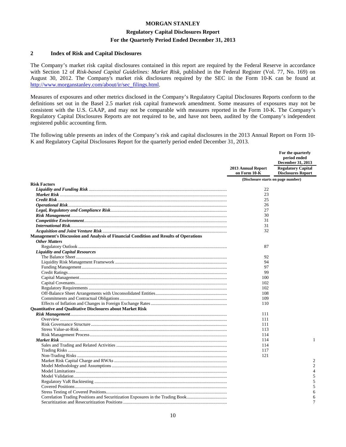#### **Regulatory Capital Disclosures Report**

#### **For the Quarterly Period Ended December 31, 2013**

#### **2 Index of Risk and Capital Disclosures**

The Company's market risk capital disclosures contained in this report are required by the Federal Reserve in accordance with Section 12 of *Risk-based Capital Guidelines: Market Risk*, published in the Federal Register (Vol. 77, No. 169) on August 30, 2012. The Company's market risk disclosures required by the SEC in the Form 10-K can be found at [http://www.morganstanley.com/about/ir/sec\\_filings.html.](http://www.morganstanley.com/about/ir/sec_filings.html) 

Measures of exposures and other metrics disclosed in the Company's Regulatory Capital Disclosures Reports conform to the definitions set out in the Basel 2.5 market risk capital framework amendment. Some measures of exposures may not be consistent with the U.S. GAAP, and may not be comparable with measures reported in the Form 10-K. The Company's Regulatory Capital Disclosures Reports are not required to be, and have not been, audited by the Company's independent registered public accounting firm.

The following table presents an index of the Company's risk and capital disclosures in the 2013 Annual Report on Form 10- K and Regulatory Capital Disclosures Report for the quarterly period ended December 31, 2013.

|                                                                                       |                                    | For the quarterly<br>period ended<br>December 31, 2013 |
|---------------------------------------------------------------------------------------|------------------------------------|--------------------------------------------------------|
|                                                                                       | 2013 Annual Report<br>on Form 10-K | <b>Regulatory Capital</b><br><b>Disclosures Report</b> |
|                                                                                       | (Disclosure starts on page number) |                                                        |
| <b>Risk Factors</b>                                                                   |                                    |                                                        |
|                                                                                       | 22                                 |                                                        |
|                                                                                       | 23                                 |                                                        |
|                                                                                       | 25                                 |                                                        |
|                                                                                       | 26                                 |                                                        |
|                                                                                       | 27                                 |                                                        |
|                                                                                       | 30                                 |                                                        |
|                                                                                       | 31                                 |                                                        |
|                                                                                       | 31                                 |                                                        |
|                                                                                       | 32                                 |                                                        |
| Management's Discussion and Analysis of Financial Condition and Results of Operations |                                    |                                                        |
| <b>Other Matters</b>                                                                  |                                    |                                                        |
|                                                                                       | 87                                 |                                                        |
| <b>Liquidity and Capital Resources</b>                                                |                                    |                                                        |
|                                                                                       | 92                                 |                                                        |
|                                                                                       | 94                                 |                                                        |
|                                                                                       | 97                                 |                                                        |
|                                                                                       | 99                                 |                                                        |
|                                                                                       | 100                                |                                                        |
|                                                                                       | 102                                |                                                        |
|                                                                                       | 102                                |                                                        |
|                                                                                       | 108                                |                                                        |
|                                                                                       | 109                                |                                                        |
|                                                                                       | 110                                |                                                        |
| Quantitative and Qualitative Disclosures about Market Risk                            |                                    |                                                        |
|                                                                                       | 111                                |                                                        |
|                                                                                       | 111                                |                                                        |
|                                                                                       | 111                                |                                                        |
|                                                                                       | 113                                |                                                        |
|                                                                                       | 114                                |                                                        |
|                                                                                       | 114                                | 1                                                      |
|                                                                                       | 114                                |                                                        |
|                                                                                       | 117                                |                                                        |
|                                                                                       | 121                                |                                                        |
|                                                                                       |                                    | $\overline{c}$                                         |
|                                                                                       |                                    | $\overline{2}$                                         |
|                                                                                       |                                    | 4                                                      |
|                                                                                       |                                    | 5                                                      |
|                                                                                       |                                    | 5                                                      |
|                                                                                       |                                    | 5                                                      |
|                                                                                       |                                    | 6                                                      |
| Correlation Trading Positions and Securitization Exposures in the Trading Book        |                                    | 6                                                      |
|                                                                                       |                                    | 7                                                      |